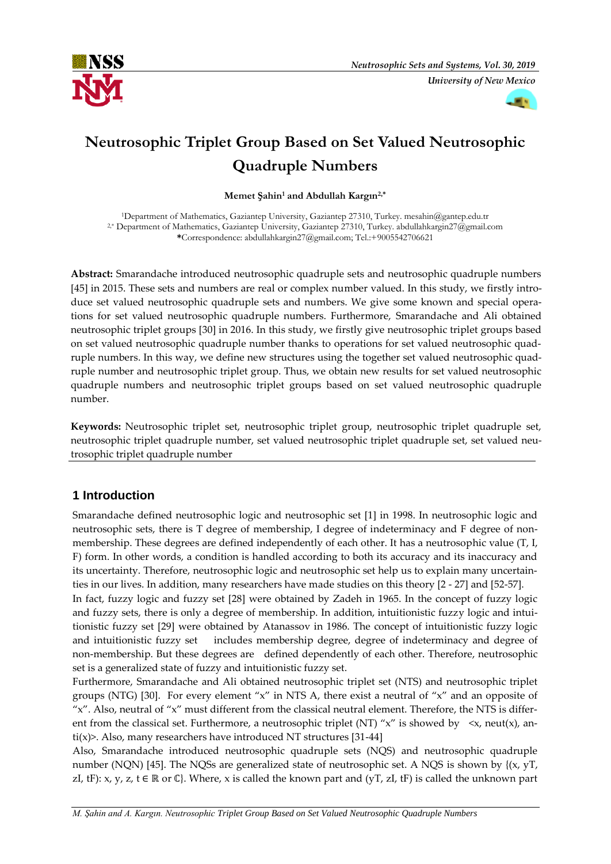

*University of New Mexico*

 $\mathbf{r}$ 

# **Neutrosophic Triplet Group Based on Set Valued Neutrosophic Quadruple Numbers**

**Memet Şahin<sup>1</sup> and Abdullah Kargın2,\***

<sup>1</sup>Department of Mathematics, Gaziantep University, Gaziantep 27310, Turkey. mesahin@gantep.edu.tr 2,\* Department of Mathematics, Gaziantep University, Gaziantep 27310, Turkey. abdullahkargin27@gmail.com **\***Correspondence: abdullahkargin27@gmail.com; Tel.:+9005542706621

**Abstract:** Smarandache introduced neutrosophic quadruple sets and neutrosophic quadruple numbers [45] in 2015. These sets and numbers are real or complex number valued. In this study, we firstly introduce set valued neutrosophic quadruple sets and numbers. We give some known and special operations for set valued neutrosophic quadruple numbers. Furthermore, Smarandache and Ali obtained neutrosophic triplet groups [30] in 2016. In this study, we firstly give neutrosophic triplet groups based on set valued neutrosophic quadruple number thanks to operations for set valued neutrosophic quadruple numbers. In this way, we define new structures using the together set valued neutrosophic quadruple number and neutrosophic triplet group. Thus, we obtain new results for set valued neutrosophic quadruple numbers and neutrosophic triplet groups based on set valued neutrosophic quadruple number.

**Keywords:** Neutrosophic triplet set, neutrosophic triplet group, neutrosophic triplet quadruple set, neutrosophic triplet quadruple number, set valued neutrosophic triplet quadruple set, set valued neutrosophic triplet quadruple number

# **1 Introduction**

Smarandache defined neutrosophic logic and neutrosophic set [1] in 1998. In neutrosophic logic and neutrosophic sets, there is T degree of membership, I degree of indeterminacy and F degree of nonmembership. These degrees are defined independently of each other. It has a neutrosophic value (T, I, F) form. In other words, a condition is handled according to both its accuracy and its inaccuracy and its uncertainty. Therefore, neutrosophic logic and neutrosophic set help us to explain many uncertainties in our lives. In addition, many researchers have made studies on this theory [2 - 27] and [52-57].

In fact, fuzzy logic and fuzzy set [28] were obtained by Zadeh in 1965. In the concept of fuzzy logic and fuzzy sets, there is only a degree of membership. In addition, intuitionistic fuzzy logic and intuitionistic fuzzy set [29] were obtained by Atanassov in 1986. The concept of intuitionistic fuzzy logic and intuitionistic fuzzy set includes membership degree, degree of indeterminacy and degree of non-membership. But these degrees are defined dependently of each other. Therefore, neutrosophic set is a generalized state of fuzzy and intuitionistic fuzzy set.

Furthermore, Smarandache and Ali obtained neutrosophic triplet set (NTS) and neutrosophic triplet groups (NTG) [30]. For every element "x" in NTS A, there exist a neutral of "x" and an opposite of "x". Also, neutral of "x" must different from the classical neutral element. Therefore, the NTS is different from the classical set. Furthermore, a neutrosophic triplet (NT) " $x$ " is showed by <x, neut(x), an $t$ i(x) $>$ . Also, many researchers have introduced NT structures [31-44]

Also, Smarandache introduced neutrosophic quadruple sets (NQS) and neutrosophic quadruple number (NQN) [45]. The NQSs are generalized state of neutrosophic set. A NQS is shown by {(x, yT, zI, tF): x, y, z, t  $\in \mathbb{R}$  or  $\mathbb{C}$ . Where, x is called the known part and (yT, zI, tF) is called the unknown part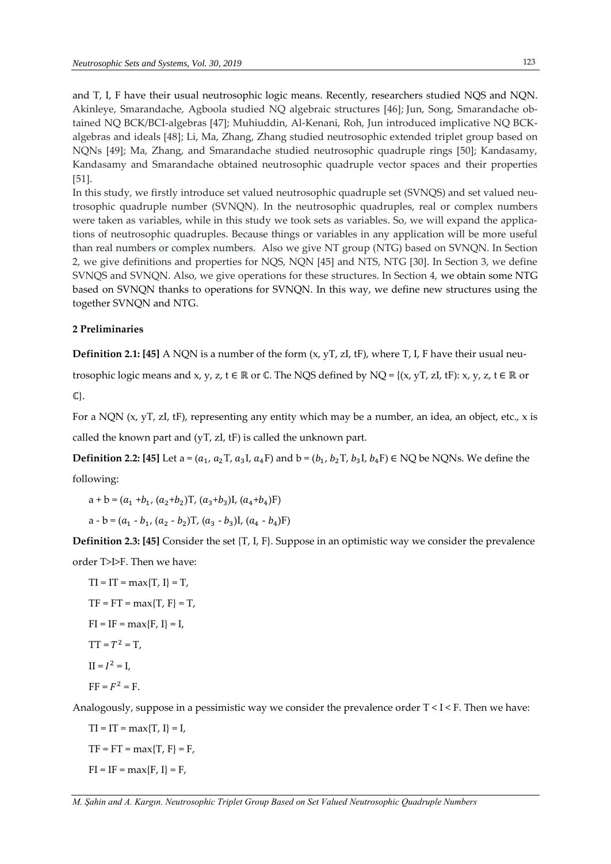and T, I, F have their usual neutrosophic logic means. Recently, researchers studied NQS and NQN. Akinleye, Smarandache, Agboola studied NQ algebraic structures [46]; Jun, Song, Smarandache obtained NQ BCK/BCI-algebras [47]; Muhiuddin, Al-Kenani, Roh, Jun introduced implicative NQ BCKalgebras and ideals [48]; Li, Ma, Zhang, Zhang studied neutrosophic extended triplet group based on NQNs [49]; Ma, Zhang, and Smarandache studied neutrosophic quadruple rings [50]; Kandasamy, Kandasamy and Smarandache obtained neutrosophic quadruple vector spaces and their properties [51].

In this study, we firstly introduce set valued neutrosophic quadruple set (SVNQS) and set valued neutrosophic quadruple number (SVNQN). In the neutrosophic quadruples, real or complex numbers were taken as variables, while in this study we took sets as variables. So, we will expand the applications of neutrosophic quadruples. Because things or variables in any application will be more useful than real numbers or complex numbers. Also we give NT group (NTG) based on SVNQN. In Section 2, we give definitions and properties for NQS, NQN [45] and NTS, NTG [30]. In Section 3, we define SVNQS and SVNQN. Also, we give operations for these structures. In Section 4, we obtain some NTG based on SVNQN thanks to operations for SVNQN. In this way, we define new structures using the together SVNQN and NTG.

#### **2 Preliminaries**

**Definition 2.1:** [45] A NQN is a number of the form  $(x, yT, zI, tF)$ , where T, I, F have their usual neu-

trosophic logic means and x, y, z, t  $\in \mathbb{R}$  or  $\mathbb{C}$ . The NQS defined by NQ = {(x, yT, zI, tF): x, y, z, t  $\in \mathbb{R}$  or

ℂ}.

For a NQN (x, yT, zI, tF), representing any entity which may be a number, an idea, an object, etc., x is called the known part and  $(yT, zI, tF)$  is called the unknown part.

**Definition 2.2:** [45] Let a =  $(a_1, a_2$ T,  $a_3$ I,  $a_4$ F) and b =  $(b_1, b_2$ T,  $b_3$ I,  $b_4$ F) ∈ NQ be NQNs. We define the

following:

$$
\mathbf{a}+\mathbf{b}=(a_1+b_1, \, (a_2+b_2)\mathrm{T}, \, (a_3+b_3)\mathrm{I}, \, (a_4+b_4)\mathrm{F})
$$

a - b =  $(a_1 - b_1, (a_2 - b_2)$ T,  $(a_3 - b_3)$ I,  $(a_4 - b_4)$ F)

**Definition 2.3: [45]** Consider the set {T, I, F}. Suppose in an optimistic way we consider the prevalence order T>I>F. Then we have:

 $TI = IT = max{T, I} = T$  $TF = FT = max{T, F} = T$ ,  $FI = IF = max{F, I} = I$ ,  $TT = T^2 = T,$  $II = I^2 = I,$  $FF = F^2 = F.$ 

Analogously, suppose in a pessimistic way we consider the prevalence order  $T < I < F$ . Then we have:

 $TI = IT = max{T, I} = I$ ,  $TF = FT = max{T, F} = F$ ,  $FI = IF = max{F, I} = F,$ 

*M. Şahin and A. Kargın. Neutrosophic Triplet Group Based on Set Valued Neutrosophic Quadruple Numbers*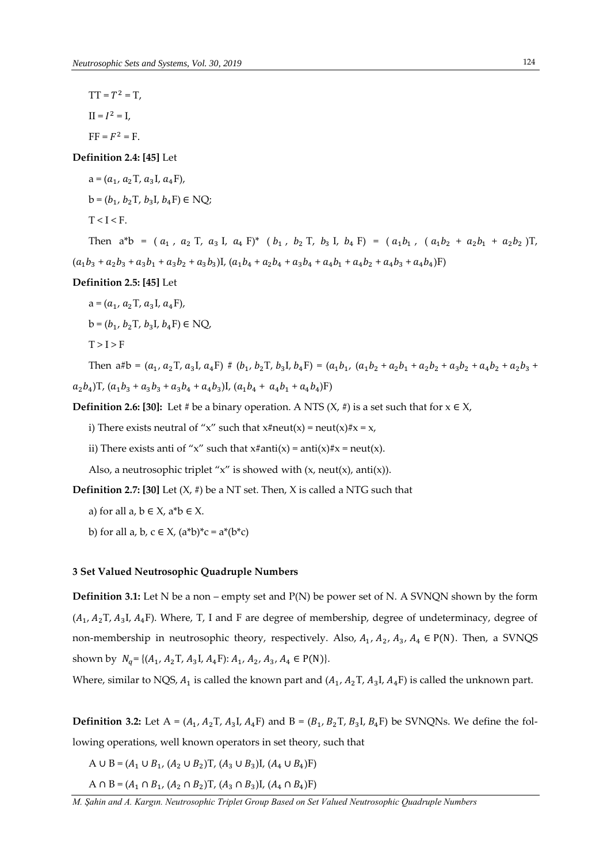#### **Definition 2.4: [45]** Let

 $a = (a_1, a_2, T, a_3, I, a_4, F),$ 

 $b = (b_1, b_2)$ ,  $b_3$ I,  $b_4$ F $) \in$  NQ;

 $T < I < F$ .

Then  $a^*b = (a_1, a_2, T, a_3, I, a_4, F)^* (b_1, b_2, T, b_3, I, b_4, F) = (a_1b_1, (a_1b_2 + a_2b_1 + a_2b_2), T,$  $(a_1b_3 + a_2b_3 + a_3b_1 + a_3b_2 + a_3b_3)I$ ,  $(a_1b_4 + a_2b_4 + a_3b_4 + a_4b_1 + a_4b_2 + a_4b_3 + a_4b_4)F$ 

#### **Definition 2.5: [45]** Let

- $a = (a_1, a_2, T, a_3, I, a_4, F),$
- $b = (b_1, b_2)$ ,  $b_3$ I,  $b_4$ F $) \in$  NQ,
- $T > I > F$

Then  $a \# b = (a_1, a_2)$ ,  $a_3$ ,  $a_4$ F)  $\# (b_1, b_2)$ ,  $b_3$ ,  $b_4$ F)  $\# (a_1b_1, (a_1b_2 + a_2b_1 + a_2b_2 + a_3b_2 + a_4b_2 + a_2b_3 + a_3b_3)$  $a_2b_4$ )T,  $(a_1b_3 + a_3b_3 + a_3b_4 + a_4b_3)$ I,  $(a_1b_4 + a_4b_1 + a_4b_4)$ F)

**Definition 2.6: [30]:** Let # be a binary operation. A NTS  $(X, #)$  is a set such that for  $x \in X$ ,

i) There exists neutral of "x" such that  $x \# \text{neut}(x) = \text{neut}(x) \# x = x$ ,

ii) There exists anti of "x" such that  $x \#$  anti $(x) =$  anti $(x) \# x =$  neut $(x)$ .

Also, a neutrosophic triplet " $x$ " is showed with  $(x, \text{neut}(x), \text{anti}(x))$ .

**Definition 2.7: [30]** Let  $(X, \#)$  be a NT set. Then, X is called a NTG such that

- a) for all  $a, b \in X$ ,  $a^*b \in X$ .
- b) for all a, b,  $c \in X$ ,  $(a^*b)^*c = a^*(b^*c)$

#### **3 Set Valued Neutrosophic Quadruple Numbers**

**Definition 3.1:** Let N be a non – empty set and  $P(N)$  be power set of N. A SVNQN shown by the form  $(A_1, A_2$ T,  $A_3$ I,  $A_4$ F). Where, T, I and F are degree of membership, degree of undeterminacy, degree of non-membership in neutrosophic theory, respectively. Also,  $A_1$ ,  $A_2$ ,  $A_3$ ,  $A_4 \in P(N)$ . Then, a SVNQS shown by  $N_q = \{(A_1, A_2, A_3, I, A_4, F): A_1, A_2, A_3, A_4 \in P(N)\}.$ 

Where, similar to NQS,  $A_1$  is called the known part and  $(A_1, A_2$ T,  $A_3$ I,  $A_4$ F) is called the unknown part.

**Definition 3.2:** Let  $A = (A_1, A_2, T, A_3, I, A_4, F)$  and  $B = (B_1, B_2, T, B_3, I, B_4, F)$  be SVNQNs. We define the following operations, well known operators in set theory, such that

A  $\cup$  B =  $(A_1 \cup B_1, (A_2 \cup B_2)$ T,  $(A_3 \cup B_3)$ I,  $(A_4 \cup B_4)$ F)

A  $\cap$  B =  $(A_1 \cap B_1, (A_2 \cap B_2)$ T,  $(A_3 \cap B_3)$ I,  $(A_4 \cap B_4)$ F)

*M. Şahin and A. Kargın. Neutrosophic Triplet Group Based on Set Valued Neutrosophic Quadruple Numbers*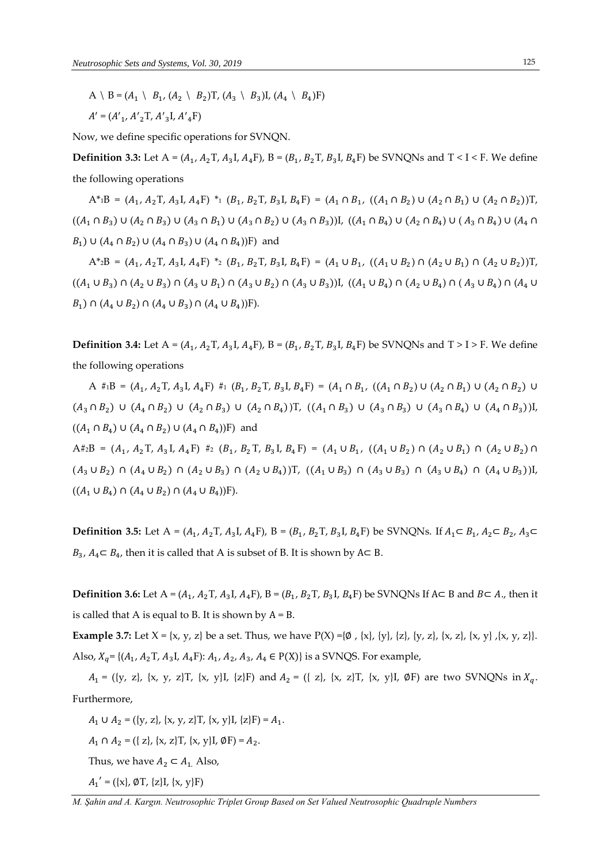$A \setminus B = (A_1 \setminus B_1, (A_2 \setminus B_2)T, (A_3 \setminus B_3)I, (A_4 \setminus B_4)F)$  $A' = (A'_{1}, A'_{2}, T, A'_{3}, I, A'_{4}, F)$ 

Now, we define specific operations for SVNQN.

**Definition 3.3:** Let  $A = (A_1, A_2, T, A_3, I, A_4, F)$ ,  $B = (B_1, B_2, T, B_3, I, B_4, F)$  be SVNQNs and  $T < I < F$ . We define the following operations

 $A^*B = (A_1, A_2, T, A_3, I, A_4, F)^*$  ( $B_1, B_2, T, B_3, I, B_4, F$ ) =  $(A_1 \cap B_1, ((A_1 \cap B_2) \cup (A_2 \cap B_1) \cup (A_2 \cap B_2))$ ,  $((A_1 \cap B_3) \cup (A_2 \cap B_3) \cup (A_3 \cap B_1) \cup (A_3 \cap B_2) \cup (A_3 \cap B_3))$ I,  $((A_1 \cap B_4) \cup (A_2 \cap B_4) \cup (A_3 \cap B_4) \cup (A_4 \cap B_5))$  $B_1$ ) ∪ ( $A_4 \cap B_2$ ) ∪ ( $A_4 \cap B_3$ ) ∪ ( $A_4 \cap B_4$ ))F) and

 $A^*$ <sub>2</sub>B = ( $A_1$ ,  $A_2$ T,  $A_3$ I,  $A_4$ F)  $^*$ <sub>2</sub> ( $B_1$ ,  $B_2$ T,  $B_3$ I,  $B_4$ F) = ( $A_1 \cup B_1$ , (( $A_1 \cup B_2$ )  $\cap$  ( $A_2 \cup B_1$ )  $\cap$  ( $A_2 \cup B_2$ ))T,  $((A_1 \cup B_3) \cap (A_2 \cup B_3) \cap (A_3 \cup B_1) \cap (A_3 \cup B_2) \cap (A_3 \cup B_3))$ l,  $((A_1 \cup B_4) \cap (A_2 \cup B_4) \cap (A_3 \cup B_4) \cap (A_4 \cup B_5))$  $B_1$ ) ∩ ( $A_4 \cup B_2$ ) ∩ ( $A_4 \cup B_3$ ) ∩ ( $A_4 \cup B_4$ ))F).

**Definition 3.4:** Let  $A = (A_1, A_2, T, A_3, I, A_4, F)$ ,  $B = (B_1, B_2, T, B_3, I, B_4, F)$  be SVNQNs and  $T > I > F$ . We define the following operations

A #1B =  $(A_1, A_2$ T,  $A_3$ I,  $A_4$ F) #1  $(B_1, B_2$ T,  $B_3$ I,  $B_4$ F) =  $(A_1 \cap B_1, ((A_1 \cap B_2) \cup (A_2 \cap B_1) \cup (A_2 \cap B_2) \cup (A_1 \cap B_2))$  $(A_3 \cap B_2) \cup (A_4 \cap B_2) \cup (A_2 \cap B_3) \cup (A_2 \cap B_4)$ )T,  $((A_1 \cap B_3) \cup (A_3 \cap B_3) \cup (A_3 \cap B_4) \cup (A_4 \cap B_3)$ ]J,  $((A_1 \cap B_4) \cup (A_4 \cap B_2) \cup (A_4 \cap B_4))$ F) and

 $A#_2B = (A_1, A_2, T, A_3, I, A_4, F)$  #2  $(B_1, B_2, T, B_3, I, B_4, F) = (A_1 \cup B_1, ((A_1 \cup B_2) \cap (A_2 \cup B_1) \cap (A_2 \cup B_2) \cap (A_3 \cup B_2))$  $(A_3 \cup B_2) \cap (A_4 \cup B_2) \cap (A_2 \cup B_3) \cap (A_2 \cup B_4)$ )T,  $((A_1 \cup B_3) \cap (A_3 \cup B_3) \cap (A_3 \cup B_4) \cap (A_4 \cup B_3)$ )I,  $((A_1 \cup B_4) \cap (A_4 \cup B_2) \cap (A_4 \cup B_4))$ F).

**Definition 3.5:** Let A =  $(A_1, A_2$ T,  $A_3$ I,  $A_4$ F), B =  $(B_1, B_2$ T,  $B_3$ I,  $B_4$ F) be SVNQNs. If  $A_1 ⊂ B_1$ ,  $A_2 ⊂ B_2$ ,  $A_3 ⊂$  $B_3$ ,  $A_4$ ⊂  $B_4$ , then it is called that A is subset of B. It is shown by A⊂ B.

**Definition 3.6:** Let A =  $(A_1, A_2T, A_3I, A_4F)$ , B =  $(B_1, B_2T, B_3I, B_4F)$  be SVNQNs If A⊂ B and B⊂ A., then it is called that A is equal to B. It is shown by  $A = B$ .

**Example 3.7:** Let  $X = \{x, y, z\}$  be a set. Thus, we have  $P(X) = \{\emptyset, \{x\}, \{y\}, \{z\}, \{y, z\}, \{x, y\}, \{x, y, z\}\}.$ Also,  $X_q = \{(A_1, A_2, A_3, I, A_4, F): A_1, A_2, A_3, A_4 \in P(X)\}\$ is a SVNQS. For example,

 $A_1 = (\{y, z\}, \{x, y, z\}T, \{x, y\}I, \{z\}F)$  and  $A_2 = (\{z\}, \{x, z\}T, \{x, y\}I, \emptyset F)$  are two SVNQNs in  $X_q$ . Furthermore,

 $A_1 \cup A_2 = (\{y, z\}, \{x, y, z\} \text{T}, \{x, y\} \text{I}, \{z\} \text{F}) = A_1.$  $A_1 \cap A_2 = (\{ z \}, \{ x, z \} )$ ,  $\{ x, y \}$ ,  $\emptyset$ F $) = A_2$ . Thus, we have  $A_2 \subset A_1$ . Also,

 $A_1' = (\{x\}, \emptyset T, \{z\}I, \{x, y\}F)$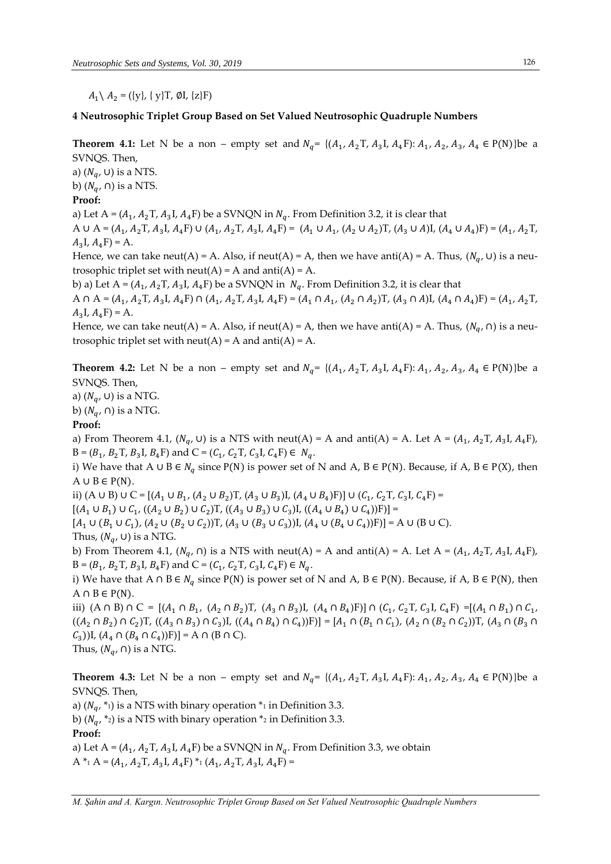$A_1 \setminus A_2 = (\{y\}, \{y\} \top, \emptyset \I, \{z\} \F)$ 

#### **4 Neutrosophic Triplet Group Based on Set Valued Neutrosophic Quadruple Numbers**

**Theorem 4.1:** Let N be a non – empty set and  $N_q = \{(A_1, A_2, A_3, I, A_4, F): A_1, A_2, A_3, A_4 \in P(N)\}$ be a SVNQS. Then,

a)  $(N_a, \cup)$  is a NTS.

b)  $(N_a, \Omega)$  is a NTS.

#### **Proof:**

a) Let A =  $(A_1, A_2$ T,  $A_3$ I,  $A_4$ F) be a SVNQN in  $N_q$ . From Definition 3.2, it is clear that

A  $\cup$  A = (A<sub>1</sub>, A<sub>2</sub>T, A<sub>3</sub>I, A<sub>4</sub>F)  $\cup$  (A<sub>1</sub>, A<sub>2</sub>T, A<sub>3</sub>I, A<sub>4</sub>F) = (A<sub>1</sub>  $\cup$  A<sub>1</sub>, (A<sub>2</sub>  $\cup$  A<sub>2</sub>)T, (A<sub>3</sub>  $\cup$  A)I, (A<sub>4</sub>  $\cup$  A<sub>4</sub>)F) = (A<sub>1</sub>, A<sub>2</sub>T,  $A_3$ I,  $A_4$ F) = A.

Hence, we can take neut(A) = A. Also, if neut(A) = A, then we have anti(A) = A. Thus,  $(N_{\alpha}, U)$  is a neutrosophic triplet set with neut(A) = A and anti(A) = A.

b) a) Let A = ( $A_1$ ,  $A_2$ T,  $A_3$ I,  $A_4$ F) be a SVNQN in  $N_q$ . From Definition 3.2, it is clear that

A  $\cap$  A = (A<sub>1</sub>, A<sub>2</sub>T, A<sub>3</sub>I, A<sub>4</sub>F)  $\cap$  (A<sub>1</sub>, A<sub>2</sub>T, A<sub>3</sub>I, A<sub>4</sub>F) = (A<sub>1</sub>  $\cap$  A<sub>1</sub>, (A<sub>2</sub>  $\cap$  A<sub>2</sub>)T, (A<sub>3</sub>  $\cap$  A)I, (A<sub>4</sub>  $\cap$  A<sub>4</sub>)F) = (A<sub>1</sub>, A<sub>2</sub>T,  $A_3$ I,  $A_4$ F) = A.

Hence, we can take neut(A) = A. Also, if neut(A) = A, then we have anti(A) = A. Thus,  $(N_a, \cap)$  is a neutrosophic triplet set with  $neut(A) = A$  and  $anti(A) = A$ .

**Theorem 4.2:** Let N be a non – empty set and  $N_q = \{(A_1, A_2, A_3, I, A_4, F): A_1, A_2, A_3, A_4 \in P(N)\}$ be a SVNQS. Then,

a)  $(N_a, \cup)$  is a NTG.

b)  $(N_a, \cap)$  is a NTG.

#### **Proof:**

a) From Theorem 4.1,  $(N_q, \cup)$  is a NTS with neut(A) = A and anti(A) = A. Let A =  $(A_1, A_2, T, A_3, I, A_4, F)$ ,  $B = (B_1, B_2, T, B_3, I, B_4, F)$  and  $C = (C_1, C_2, T, C_3, I, C_4, F) \in N_q$ .

i) We have that A ∪ B ∈  $N_q$  since P(N) is power set of N and A, B ∈ P(N). Because, if A, B ∈ P(X), then  $A \cup B \in P(N)$ .

ii) (A ∪ B) ∪ C = [(A<sub>1</sub> ∪ B<sub>1</sub>, (A<sub>2</sub> ∪ B<sub>2</sub>)T, (A<sub>3</sub> ∪ B<sub>3</sub>)I, (A<sub>4</sub> ∪ B<sub>4</sub>)F)] ∪ (C<sub>1</sub>, C<sub>2</sub>T, C<sub>3</sub>I, C<sub>4</sub>F) =  $[(A_1 \cup B_1) \cup C_1, ((A_2 \cup B_2) \cup C_2)T, ((A_3 \cup B_3) \cup C_3)I, ((A_4 \cup B_4) \cup C_4))F]$  =  $[A_1 \cup (B_1 \cup C_1), (A_2 \cup (B_2 \cup C_2))T, (A_3 \cup (B_3 \cup C_3))I, (A_4 \cup (B_4 \cup C_4))F] = A \cup (B \cup C).$ Thus,  $(N_a, U)$  is a NTG.

b) From Theorem 4.1,  $(N_q, \cap)$  is a NTS with neut(A) = A and anti(A) = A. Let A =  $(A_1, A_2, T, A_3, I, A_4, F)$ ,  $B = (B_1, B_2, T, B_3, I, B_4, F)$  and  $C = (C_1, C_2, T, C_3, I, C_4, F) \in N_q$ .

i) We have that A ∩ B ∈  $N_q$  since P(N) is power set of N and A, B ∈ P(N). Because, if A, B ∈ P(N), then  $A \cap B \in P(N)$ .

iii)  $(A \cap B) \cap C = [(A_1 \cap B_1, (A_2 \cap B_2)T, (A_3 \cap B_3)I, (A_4 \cap B_4)F)] \cap (C_1, C_2T, C_3I, C_4F) = [(A_1 \cap B_1) \cap C_1, (A_2 \cap B_2)T, (A_3 \cap B_3)I]$  $((A_2 \cap B_2) \cap C_2)$ T,  $((A_3 \cap B_3) \cap C_3)$ I,  $((A_4 \cap B_4) \cap C_4)$ )F)] = [ $A_1 \cap (B_1 \cap C_1)$ ,  $(A_2 \cap (B_2 \cap C_2)$ )T,  $(A_3 \cap (B_3 \cap C_3)$  $(C_3)$ )I,  $(A_4 \cap (B_4 \cap C_4))F$ ] = A  $\cap (B \cap C)$ . Thus,  $(N_a, \cap)$  is a NTG.

**Theorem 4.3:** Let N be a non – empty set and  $N_q = \{(A_1, A_2, A_3, I, A_4, F): A_1, A_2, A_3, A_4 \in P(N)\}$ be a SVNQS. Then,

a)  $(N_a, *_1)$  is a NTS with binary operation  $*_1$  in Definition 3.3.

b)  $(N_a, *_{2})$  is a NTS with binary operation  $*_{2}$  in Definition 3.3.

#### **Proof:**

a) Let A =  $(A_1, A_2$ T,  $A_3$ I,  $A_4$ F) be a SVNQN in  $N_q$ . From Definition 3.3, we obtain A  ${}^*{}_1$  A = ( $A_1$ ,  $A_2$ T,  $A_3$ I,  $A_4$ F)  ${}^*{}_1$  ( $A_1$ ,  $A_2$ T,  $A_3$ I,  $A_4$ F) =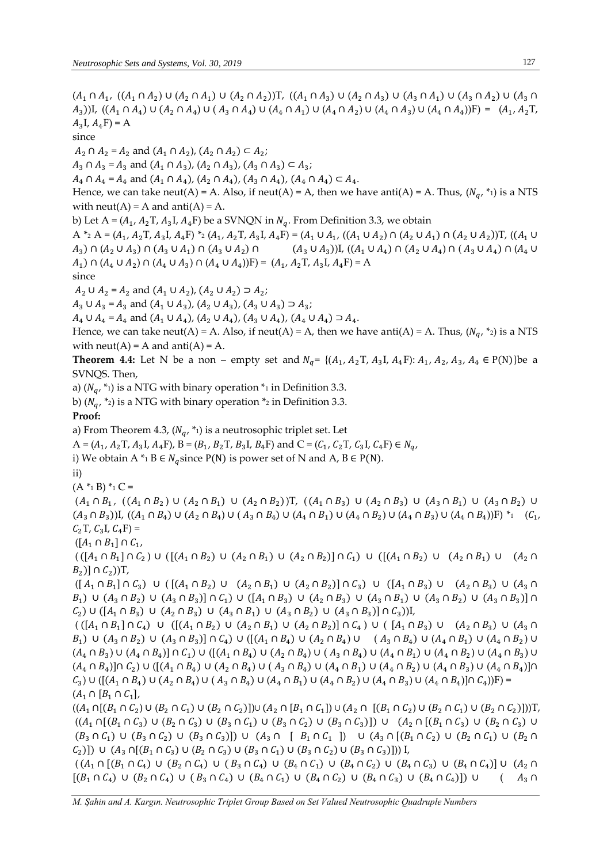$(A_1 \cap A_1, ((A_1 \cap A_2) \cup (A_2 \cap A_1) \cup (A_2 \cap A_2))$ T,  $((A_1 \cap A_3) \cup (A_2 \cap A_3) \cup (A_3 \cap A_1) \cup (A_3 \cap A_2) \cup (A_3 \cap A_2)$  $(A_3)$ )I,  $((A_1 \cap A_4) \cup (A_2 \cap A_4) \cup (A_3 \cap A_4) \cup (A_4 \cap A_1) \cup (A_4 \cap A_2) \cup (A_4 \cap A_3) \cup (A_4 \cap A_4))$ F) =  $(A_1, A_2$ T,  $A_3$ I,  $A_4$ F) = A

since

 $A_2 \cap A_2 = A_2$  and  $(A_1 \cap A_2)$ ,  $(A_2 \cap A_2) \subset A_2$ ;  $A_3 \cap A_3 = A_3$  and  $(A_1 \cap A_3)$ ,  $(A_2 \cap A_3)$ ,  $(A_3 \cap A_3) \subset A_3$ ;  $A_4 \cap A_4 = A_4$  and  $(A_1 \cap A_4)$ ,  $(A_2 \cap A_4)$ ,  $(A_3 \cap A_4)$ ,  $(A_4 \cap A_4) \subset A_4$ . Hence, we can take neut(A) = A. Also, if neut(A) = A, then we have anti(A) = A. Thus,  $(N_a, *_1)$  is a NTS with  $neut(A) = A$  and  $anti(A) = A$ . b) Let A = ( $A_1$ ,  $A_2$ T,  $A_3$ I,  $A_4$ F) be a SVNQN in  $N_q$ . From Definition 3.3, we obtain

A \* 2 A =  $(A_1, A_2, T, A_3, I, A_4, F)$  \* 2  $(A_1, A_2, T, A_3, I, A_4, F) = (A_1 \cup A_1, ((A_1 \cup A_2) \cap (A_2 \cup A_1) \cap (A_2 \cup A_2))$ T,  $((A_1 \cup A_2) \cap (A_2 \cup A_2)$  $(A_3)$  ∩  $(A_2 \cup A_3)$  ∩  $(A_3 \cup A_1)$  ∩  $(A_3 \cup A_2)$  ∩ ) ∩  $(A_3 \cup A_2)$  ∩  $(A_3 \cup A_3)$ )I,  $((A_1 \cup A_4) \cap (A_2 \cup A_4) \cap (A_3 \cup A_4) \cap (A_4 \cup A_5))$  $A_1$ ) ∩ ( $A_4 \cup A_2$ ) ∩ ( $A_4 \cup A_3$ ) ∩ ( $A_4 \cup A_4$ ))F) = ( $A_1$ ,  $A_2$ T,  $A_3$ I,  $A_4$ F) = A

since

 $A_2 \cup A_2 = A_2$  and  $(A_1 \cup A_2)$ ,  $(A_2 \cup A_2) \supset A_2$ ;

 $A_3 \cup A_3 = A_3$  and  $(A_1 \cup A_3)$ ,  $(A_2 \cup A_3)$ ,  $(A_3 \cup A_3) \supset A_3$ ;

 $A_4 \cup A_4 = A_4$  and  $(A_1 \cup A_4)$ ,  $(A_2 \cup A_4)$ ,  $(A_3 \cup A_4)$ ,  $(A_4 \cup A_4) \supset A_4$ .

Hence, we can take neut(A) = A. Also, if neut(A) = A, then we have anti(A) = A. Thus,  $(N_a, *_{2})$  is a NTS with neut(A) = A and anti(A) = A.

**Theorem 4.4:** Let N be a non – empty set and  $N_q = \{(A_1, A_2, A_3, I, A_4, F): A_1, A_2, A_3, A_4 \in P(N)\}$ be a SVNQS. Then,

a)  $(N_a, *_1)$  is a NTG with binary operation  $*_1$  in Definition 3.3.

b)  $(N_a, *_{2})$  is a NTG with binary operation  $*_{2}$  in Definition 3.3.

# **Proof:**

a) From Theorem 4.3,  $(N_q, *_1)$  is a neutrosophic triplet set. Let  $A = (A_1, A_2, T, A_3, I, A_4, F), B = (B_1, B_2, T, B_3, I, B_4, F)$  and  $C = (C_1, C_2, T, C_3, I, C_4, F) \in N_q$ , i) We obtain A  $*_1$  B  $\in N_a$  since P(N) is power set of N and A, B  $\in$  P(N). ii)  $(A *_{1} B) *_{1} C =$  $(A_1 \cap B_1, ((A_1 \cap B_2) \cup (A_2 \cap B_1) \cup (A_2 \cap B_2))$ T,  $((A_1 \cap B_3) \cup (A_2 \cap B_3) \cup (A_3 \cap B_1) \cup (A_3 \cap B_2) \cup$  $(A_3 \cap B_3)$ ],  $((A_1 \cap B_4) \cup (A_2 \cap B_4) \cup (A_3 \cap B_4) \cup (A_4 \cap B_1) \cup (A_4 \cap B_2) \cup (A_4 \cap B_3) \cup (A_4 \cap B_4)$ }F)<sup>\*</sup>1  $(C_1,$ 

 $C_2$ T,  $C_3$ I,  $C_4$ F) =

 $([A_1 \cap B_1] \cap C_1,$ 

 $(([A_1 \cap B_1] \cap C_2) \cup ([A_1 \cap B_2) \cup (A_2 \cap B_1) \cup (A_2 \cap B_2)] \cap C_1) \cup ([A_1 \cap B_2) \cup (A_2 \cap B_1) \cup (A_2 \cap B_2)]$  $B_2$ )] ∩  $C_2$ ))T,

 $([ A_1 \cap B_1] \cap C_3) \cup ([ (A_1 \cap B_2) \cup (A_2 \cap B_1) \cup (A_2 \cap B_2)] \cap C_3) \cup ([ A_1 \cap B_3) \cup (A_2 \cap B_3) \cup (A_3 \cap B_4)]$  $B_1$ ) ∪  $(A_3 \cap B_2)$  ∪  $(A_3 \cap B_3)$ | ∩  $C_1$ ) ∪  $([A_1 \cap B_3)$  ∪  $(A_2 \cap B_3)$  ∪  $(A_3 \cap B_1)$  ∪  $(A_3 \cap B_2)$  ∪  $(A_3 \cap B_3)$ | ∩  $C_2$ ) ∪ ([A<sub>1</sub> ∩ B<sub>3</sub>) ∪ (A<sub>2</sub> ∩ B<sub>3</sub>) ∪ (A<sub>3</sub> ∩ B<sub>1</sub>) ∪ (A<sub>3</sub> ∩ B<sub>2</sub>) ∪ (A<sub>3</sub> ∩ B<sub>3</sub>)] ∩  $C_3$ ))I,

 $(([A_1 \cap B_1] \cap C_4) \cup ([(A_1 \cap B_2) \cup (A_2 \cap B_1) \cup (A_2 \cap B_2)] \cap C_4) \cup ([A_1 \cap B_3) \cup (A_2 \cap B_3) \cup (A_3 \cap B_4)]$  $B_1)$  ∪  $(A_3 \cap B_2)$  ∪  $(A_3 \cap B_3)$ ] ∩  $C_4$ ) ∪  $([A_1 \cap B_4)$  ∪  $(A_2 \cap B_4)$  ∪  $(A_3 \cap B_4)$  ∪  $(A_4 \cap B_1)$  ∪  $(A_4 \cap B_2)$  ∪  $(A_4 \cap B_3) \cup (A_4 \cap B_4) \cap C_1) \cup ([(A_1 \cap B_4) \cup (A_2 \cap B_4) \cup (A_3 \cap B_4) \cup (A_4 \cap B_1) \cup (A_4 \cap B_2) \cup (A_4 \cap B_3) \cup (A_5 \cap B_4)$  $(A_4 \cap B_4)$ ] $\cap C_2$ ) ∪ ( $[(A_1 \cap B_4) \cup (A_2 \cap B_4) \cup (A_3 \cap B_4) \cup (A_4 \cap B_1) \cup (A_4 \cap B_2) \cup (A_4 \cap B_3) \cup (A_4 \cap B_4)]$  $\cap$  $(C_3) \cup ([(A_1 \cap B_4) \cup (A_2 \cap B_4) \cup (A_3 \cap B_4) \cup (A_4 \cap B_1) \cup (A_4 \cap B_2) \cup (A_4 \cap B_3) \cup (A_4 \cap B_4)] \cap (C_4))$ F) =  $(A_1 \cap [B_1 \cap C_1],$ 

 $((A_1 \cap [(B_1 \cap C_2) \cup (B_2 \cap C_1) \cup (B_2 \cap C_2)]) \cup (A_2 \cap [B_1 \cap C_1]) \cup (A_2 \cap [(B_1 \cap C_2) \cup (B_2 \cap C_1) \cup (B_2 \cap C_2)])$ T,  $((A_1 \cap [B_1 \cap C_3) \cup (B_2 \cap C_3) \cup (B_3 \cap C_1) \cup (B_3 \cap C_2) \cup (B_3 \cap C_3))) \cup (A_2 \cap [(B_1 \cap C_3) \cup (B_2 \cap C_3) \cup (B_3 \cap C_1)]$  $(B_3 \cap C_1) \cup (B_3 \cap C_2) \cup (B_3 \cap C_3) ]$ ) ∪  $(A_3 \cap [B_1 \cap C_1])$  ∪  $(A_3 \cap [(B_1 \cap C_2) \cup (B_2 \cap C_1) \cup (B_2 \cap C_2)]$  $(C_2)$ ]) ∪  $(A_3 \cap [(B_1 \cap C_3) \cup (B_2 \cap C_3) \cup (B_3 \cap C_1) \cup (B_3 \cap C_2) \cup (B_3 \cap C_3)])$  I,

 $((A_1 \cap [(B_1 \cap C_4) \cup (B_2 \cap C_4) \cup (B_3 \cap C_4) \cup (B_4 \cap C_1) \cup (B_4 \cap C_2) \cup (B_4 \cap C_3) \cup (B_4 \cap C_4)] \cup (A_2 \cap C_4)$  $[(B_1 \cap C_4) \cup (B_2 \cap C_4) \cup (B_3 \cap C_4) \cup (B_4 \cap C_1) \cup (B_4 \cap C_2) \cup (B_4 \cap C_3) \cup (B_4 \cap C_4)]$   $\cup$   $(A_3 \cap$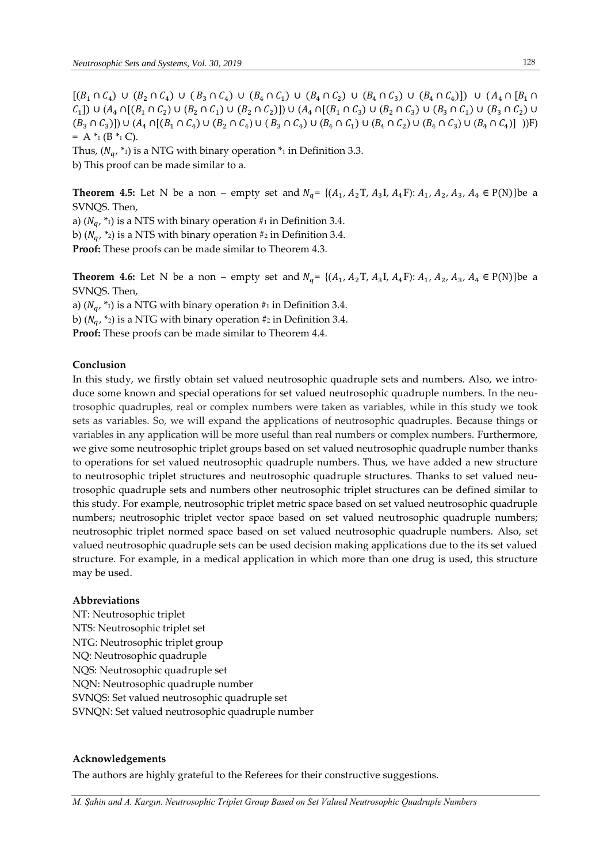$[(B_1 \cap C_4) \cup (B_2 \cap C_4) \cup (B_3 \cap C_4) \cup (B_4 \cap C_1) \cup (B_4 \cap C_2) \cup (B_4 \cap C_3) \cup (B_4 \cap C_4)]$   $\cup$   $(A_4 \cap B_1 \cap C_2)$  $(C_1$ ]) ∪ ( $A_4 \cap [(B_1 \cap C_2) \cup (B_2 \cap C_1) \cup (B_2 \cap C_2)]$ ) ∪ ( $A_4 \cap [(B_1 \cap C_3) \cup (B_2 \cap C_3) \cup (B_3 \cap C_1) \cup (B_3 \cap C_2)$  ∪  $(B_3 \cap C_3)$ ) ∪  $(A_4 \cap [(B_1 \cap C_4) \cup (B_2 \cap C_4) \cup (B_3 \cap C_4) \cup (B_4 \cap C_1) \cup (B_4 \cap C_2) \cup (B_4 \cap C_3) \cup (B_4 \cap C_4)]$ ))F)  $= A *_{1} (B *_{1} C).$ 

Thus,  $(N_q, *_1)$  is a NTG with binary operation  $*_1$  in Definition 3.3.

b) This proof can be made similar to a.

**Theorem 4.5:** Let N be a non – empty set and  $N_q = \{(A_1, A_2, A_3, I, A_4, F): A_1, A_2, A_3, A_4 \in P(N)\}$ be a SVNQS. Then,

a)  $(N_a, *_1)$  is a NTS with binary operation #1 in Definition 3.4.

b) ( $N_a$ , \*2) is a NTS with binary operation #2 in Definition 3.4.

**Proof:** These proofs can be made similar to Theorem 4.3.

**Theorem 4.6:** Let N be a non – empty set and  $N_q = \{(A_1, A_2, A_3, I, A_4, F): A_1, A_2, A_3, A_4 \in P(N)\}$ be a SVNQS. Then,

a)  $(N_q, *_1)$  is a NTG with binary operation #1 in Definition 3.4. b) ( $N_a$ , \*2) is a NTG with binary operation #2 in Definition 3.4. **Proof:** These proofs can be made similar to Theorem 4.4.

# **Conclusion**

In this study, we firstly obtain set valued neutrosophic quadruple sets and numbers. Also, we introduce some known and special operations for set valued neutrosophic quadruple numbers. In the neutrosophic quadruples, real or complex numbers were taken as variables, while in this study we took sets as variables. So, we will expand the applications of neutrosophic quadruples. Because things or variables in any application will be more useful than real numbers or complex numbers. Furthermore, we give some neutrosophic triplet groups based on set valued neutrosophic quadruple number thanks to operations for set valued neutrosophic quadruple numbers. Thus, we have added a new structure to neutrosophic triplet structures and neutrosophic quadruple structures. Thanks to set valued neutrosophic quadruple sets and numbers other neutrosophic triplet structures can be defined similar to this study. For example, neutrosophic triplet metric space based on set valued neutrosophic quadruple numbers; neutrosophic triplet vector space based on set valued neutrosophic quadruple numbers; neutrosophic triplet normed space based on set valued neutrosophic quadruple numbers. Also, set valued neutrosophic quadruple sets can be used decision making applications due to the its set valued structure. For example, in a medical application in which more than one drug is used, this structure may be used.

# **Abbreviations**

NT: Neutrosophic triplet NTS: Neutrosophic triplet set NTG: Neutrosophic triplet group NQ: Neutrosophic quadruple NQS: Neutrosophic quadruple set NQN: Neutrosophic quadruple number SVNQS: Set valued neutrosophic quadruple set SVNQN: Set valued neutrosophic quadruple number

#### **Acknowledgements**

The authors are highly grateful to the Referees for their constructive suggestions.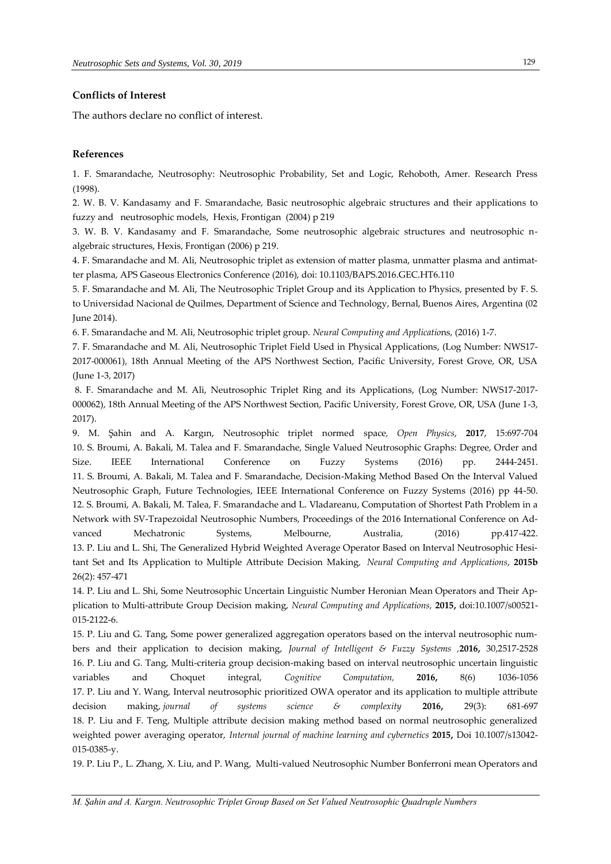#### **Conflicts of Interest**

The authors declare no conflict of interest.

# **References**

1. F. Smarandache, Neutrosophy: Neutrosophic Probability, Set and Logic, Rehoboth, Amer. Research Press (1998).

2. W. B. V. Kandasamy and F. Smarandache, Basic neutrosophic algebraic structures and their applications to fuzzy and neutrosophic models, Hexis, Frontigan (2004) p 219

3. W. B. V. Kandasamy and F. Smarandache, Some neutrosophic algebraic structures and neutrosophic nalgebraic structures, Hexis, Frontigan (2006) p 219.

4. F. Smarandache and M. Ali, Neutrosophic triplet as extension of matter plasma, unmatter plasma and antimatter plasma, APS Gaseous Electronics Conference (2016), doi: 10.1103/BAPS.2016.GEC.HT6.110

5. F. Smarandache and M. Ali, The Neutrosophic Triplet Group and its Application to Physics, presented by F. S. to Universidad Nacional de Quilmes, Department of Science and Technology, Bernal, Buenos Aires, Argentina (02 June 2014).

6. F. Smarandache and M. Ali, Neutrosophic triplet group. *Neural Computing and Applicatio*ns, (2016) 1-7.

7. F. Smarandache and M. Ali, Neutrosophic Triplet Field Used in Physical Applications, (Log Number: NWS17- 2017-000061), 18th Annual Meeting of the APS Northwest Section, Pacific University, Forest Grove, OR, USA (June 1-3, 2017)

8. F. Smarandache and M. Ali, Neutrosophic Triplet Ring and its Applications, (Log Number: NWS17-2017- 000062), 18th Annual Meeting of the APS Northwest Section, Pacific University, Forest Grove, OR, USA (June 1-3, 2017).

9. M. Şahin and A. Kargın, Neutrosophic triplet normed space*, Open Physics*, **2017**, 15:697-704 10. S. Broumi, A. Bakali, M. Talea and F. Smarandache, Single Valued Neutrosophic Graphs: Degree, Order and Size. IEEE International Conference on Fuzzy Systems (2016) pp. 2444-2451. 11. S. Broumi, A. Bakali, M. Talea and F. Smarandache, Decision-Making Method Based On the Interval Valued Neutrosophic Graph, Future Technologies, IEEE International Conference on Fuzzy Systems (2016) pp 44-50. 12. S. Broumi, A. Bakali, M. Talea, F. Smarandache and L. Vladareanu, Computation of Shortest Path Problem in a Network with SV-Trapezoidal Neutrosophic Numbers, Proceedings of the 2016 International Conference on Advanced Mechatronic Systems, Melbourne, Australia, (2016) pp.417-422. 13. P. [Liu](https://www.researchgate.net/profile/Peide_Liu3) and L. [Shi,](https://www.researchgate.net/scientific-contributions/2068623407_Lanlan_Shi) The Generalized Hybrid Weighted Average Operator Based on Interval Neutrosophic Hesitant Set and Its Application to Multiple Attribute Decision Making*, Neural Computing and Applications*, **2015b**  26(2): 457-471

14. P. [Liu](https://www.researchgate.net/profile/Peide_Liu3) and L. [Shi,](https://www.researchgate.net/scientific-contributions/2068623407_Lanlan_Shi) Some Neutrosophic Uncertain Linguistic Number Heronian Mean Operators and Their Application to Multi-attribute Group Decision making, *Neural Computing and Applications,* **2015,** doi:10.1007/s00521- 015-2122-6.

15. P. [Liu](https://scholar.google.com.tr/citations?user=kB0nlC0AAAAJ&hl=tr&oi=sra) and G. Tang, Some power generalized aggregation operators based on the interval neutrosophic numbers and their application to decision making, *Journal of Intelligent & Fuzzy Systems ,***2016,** 30,2517-2528 16. P. [Liu](https://scholar.google.com.tr/citations?user=kB0nlC0AAAAJ&hl=tr&oi=sra) and G. Tang, Multi-criteria group decision-making based on interval neutrosophic uncertain linguistic variables and Choquet integral, *Cognitive Computation,* **2016,** 8(6) 1036-1056 17. P. [Liu](https://www.researchgate.net/profile/Peide_Liu3) and Y. Wang, Interval neutrosophic prioritized OWA operator and its application to multiple attribute decision making, *journal of systems science & complexity* **2016,** 29(3): 681-697 18. P. [Liu](https://scholar.google.com.tr/citations?user=kB0nlC0AAAAJ&hl=tr&oi=sra) and F. Teng, Multiple attribute decision making method based on normal neutrosophic generalized weighted power averaging operator, *Internal journal of machine learning and cybernetics* **2015,** Doi 10.1007/s13042- 015-0385-y.

19. P[. Liu](https://scholar.google.com.tr/citations?user=kB0nlC0AAAAJ&hl=tr&oi=sra) P., L. Zhang, X. Liu, and P. Wang, Multi-valued Neutrosophic Number Bonferroni mean Operators and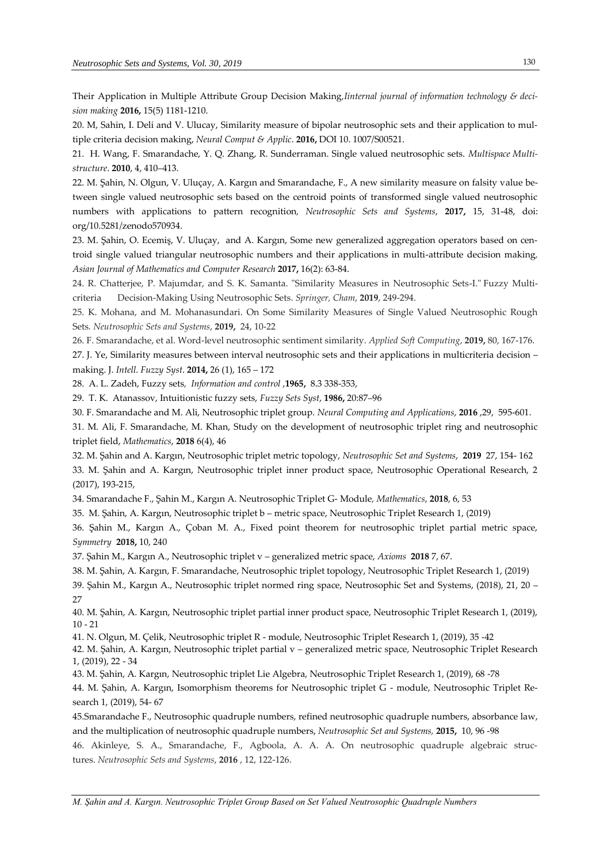Their Application in Multiple Attribute Group Decision Making*,Iinternal journal of information technology & decision making* **2016,** 15(5) 1181-1210.

20. M, Sahin, I. Deli and V. Ulucay, Similarity measure of bipolar neutrosophic sets and their application to multiple criteria decision making, *Neural Comput & Applic*. **2016,** DOI 10. 1007/S00521.

21. H. Wang, F. Smarandache, Y. Q. Zhang, R. Sunderraman. Single valued neutrosophic sets. *Multispace Multistructure*. **2010**, 4, 410–413.

22. M. Şahin, N. Olgun, V. Uluçay, A. Kargın and Smarandache, F., A new similarity measure on falsity value between single valued neutrosophic sets based on the centroid points of transformed single valued neutrosophic numbers with applications to pattern recognition*, Neutrosophic Sets and Systems*, **2017,** 15, 31-48, doi: org/10.5281/zenodo570934.

23. M. Şahin, O. Ecemiş, V. Uluçay, and A. Kargın, Some new generalized aggregation operators based on centroid single valued triangular neutrosophic numbers and their applications in multi-attribute decision making*, Asian Journal of Mathematics and Computer Research* **2017,** 16(2): 63-84.

24. R. Chatterjee, P. Majumdar, and S. K. Samanta. "Similarity Measures in Neutrosophic Sets-I." Fuzzy Multicriteria Decision-Making Using Neutrosophic Sets. *Springer, Cham*, **2019**, 249-294.

25. K. Mohana, and M. Mohanasundari. On Some Similarity Measures of Single Valued Neutrosophic Rough Sets*. Neutrosophic Sets and Systems*, **2019,** 24, 10-22

26. F. Smarandache, et al. Word-level neutrosophic sentiment similarity. *Applied Soft Computing*, **2019,** 80, 167-176.

27. J. Ye, Similarity measures between interval neutrosophic sets and their applications in multicriteria decision – making. J. *Intell. Fuzzy Syst*. **2014,** 26 (1), 165 – 172

28. A. L. Zadeh, Fuzzy sets*, Information and control* ,**1965,** 8.3 338-353,

29. T. K. Atanassov, Intuitionistic fuzzy sets, *Fuzzy Sets Syst*, **1986,** 20:87–96

30. F. Smarandache and M. Ali, Neutrosophic triplet group. *Neural Computing and Applications*, **2016** ,29, 595-601.

31. M. Ali, F. Smarandache, M. Khan, Study on the development of neutrosophic triplet ring and neutrosophic triplet field, *Mathematics*, **2018** 6(4), 46

32. M. Şahin and A. Kargın, Neutrosophic triplet metric topology, *Neutrosophic Set and Systems*, **2019** 27, 154- 162 33. M. Şahin and A. Kargın, Neutrosophic triplet inner product space, Neutrosophic Operational Research, 2 (2017), 193-215,

34. Smarandache F., Şahin M., Kargın A. Neutrosophic Triplet G- Module*, Mathematics*, **2018**, 6, 53

35. M. Şahin, A. Kargın, Neutrosophic triplet b – metric space, Neutrosophic Triplet Research 1, (2019)

36. Şahin M., Kargın A., Çoban M. A., Fixed point theorem for neutrosophic triplet partial metric space, *Symmetry* **2018,** 10, 240

37. Şahin M., Kargın A., Neutrosophic triplet v – generalized metric space, *Axioms* **2018** 7, 67.

- 38. M. Şahin, A. Kargın, F. Smarandache, Neutrosophic triplet topology, Neutrosophic Triplet Research 1, (2019)
- 39. Şahin M., Kargın A., Neutrosophic triplet normed ring space, Neutrosophic Set and Systems, (2018), 21, 20 27

40. M. Şahin, A. Kargın, Neutrosophic triplet partial inner product space, Neutrosophic Triplet Research 1, (2019), 10 - 21

41. N. Olgun, M. Çelik, Neutrosophic triplet R - module, Neutrosophic Triplet Research 1, (2019), 35 -42

42. M. Şahin, A. Kargın, Neutrosophic triplet partial v – generalized metric space, Neutrosophic Triplet Research 1, (2019), 22 - 34

43. M. Şahin, A. Kargın, Neutrosophic triplet Lie Algebra, Neutrosophic Triplet Research 1, (2019), 68 -78

44. M. Şahin, A. Kargın, Isomorphism theorems for Neutrosophic triplet G - module, Neutrosophic Triplet Research 1, (2019), 54- 67

45.Smarandache F., Neutrosophic quadruple numbers, refined neutrosophic quadruple [numbers, absorbance law,](https://www.google.com/books?hl=tr&lr=&id=NMU7DwAAQBAJ&oi=fnd&pg=PP2&dq=%22neutrosophic+quadruple%22&ots=8JrIt1vNpT&sig=Kj3tqgXf0r9zsmcwjcsFqKew5XI)  [and the multiplication of](https://www.google.com/books?hl=tr&lr=&id=NMU7DwAAQBAJ&oi=fnd&pg=PP2&dq=%22neutrosophic+quadruple%22&ots=8JrIt1vNpT&sig=Kj3tqgXf0r9zsmcwjcsFqKew5XI) neutrosophic quadruple numbers, *Neutrosophic Set and Systems,* **2015,** 10, 96 -98

46. Akinleye, S. A., Smarandache, F., Agboola, A. A. A. On neutrosophic quadruple algebraic structures. *Neutrosophic Sets and Systems*, **2016** , 12, 122-126.